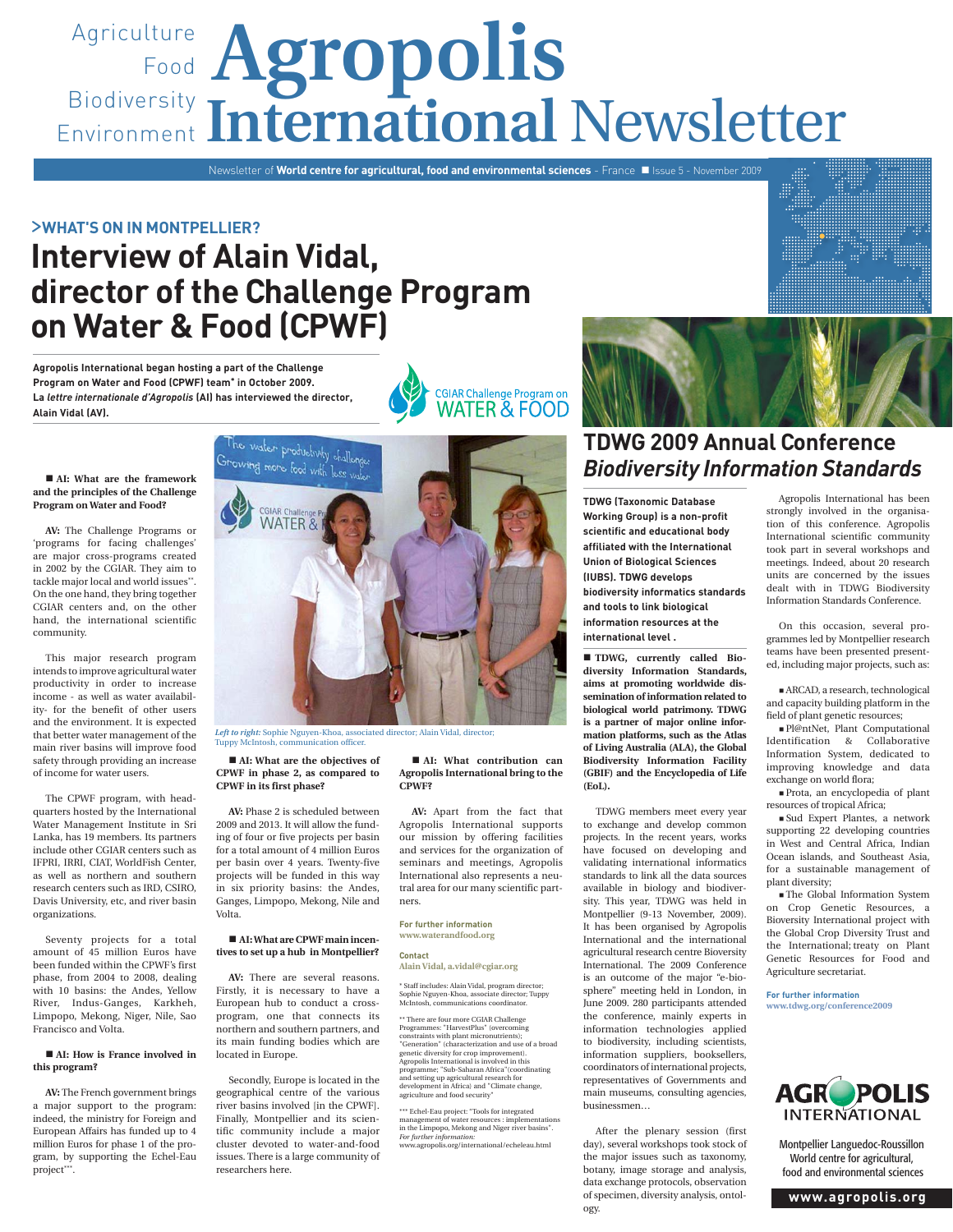# Agriculture **Agropolis** Food Biodiversity Environment International Newsletter

Newsletter of **World centre for agricultural, food and environmental sciences** - France **II** Issue 5 - November 2009

### >**WHAT'S ON IN MONTPELLIER?**

# **Interview of Alain Vidal, director of the Challenge Program on Water & Food (CPWF)**

**Agropolis International began hosting a part of the Challenge Program on Water and Food (CPWF) team\* in October 2009. La** *lettre internationale d'Agropolis* **(AI) has interviewed the director, Alain Vidal (AV).**



#### **AI: What are the framework and the principles of the Challenge Program on Water and Food?**

**AV:** The Challenge Programs or 'programs for facing challenges' are major cross-programs created in 2002 by the CGIAR. They aim to tackle major local and world issues\*\*. On the one hand, they bring together CGIAR centers and, on the other hand, the international scientific community.

This major research program intends to improve agricultural water productivity in order to increase income - as well as water availability- for the benefit of other users and the environment. It is expected that better water management of the main river basins will improve food safety through providing an increase of income for water users.

The CPWF program, with headquarters hosted by the International Water Management Institute in Sri Lanka, has 19 members. Its partners include other CGIAR centers such as IFPRI, IRRI, CIAT, WorldFish Center, as well as northern and southern research centers such as IRD, CSIRO, Davis University, etc, and river basin organizations.

Seventy projects for a total amount of 45 million Euros have been funded within the CPWF's first phase, from 2004 to 2008, dealing with 10 basins: the Andes, Yellow River, Indus-Ganges, Karkheh, Limpopo, Mekong, Niger, Nile, Sao Francisco and Volta.

#### ■ AI: How is France involved in **this program?**

**AV:** The French government brings a major support to the program: indeed, the ministry for Foreign and European Affairs has funded up to 4 million Euros for phase 1 of the program, by supporting the Echel-Eau project\*\*\*.



Tuppy McIntosh, communication officer.

#### ■ AI: What are the objectives of **CPWF in phase 2, as compared to CPWF in its first phase?**

**AV:** Phase 2 is scheduled between 2009 and 2013. It will allow the funding of four or five projects per basin for a total amount of 4 million Euros per basin over 4 years. Twenty-five projects will be funded in this way in six priority basins: the Andes, Ganges, Limpopo, Mekong, Nile and Volta.

#### ■ AI: What are CPWF main incen**tives to set up a hub in Montpellier?**

**AV:** There are several reasons. Firstly, it is necessary to have a European hub to conduct a crossprogram, one that connects its northern and southern partners, and its main funding bodies which are located in Europe.

Secondly, Europe is located in the geographical centre of the various river basins involved [in the CPWF]. Finally, Montpellier and its scientific community include a major cluster devoted to water-and-food issues. There is a large community of researchers here.

#### **AI: What contribution can Agropolis International bring to the CPWF?**

**AV:** Apart from the fact that Agropolis International supports our mission by offering facilities and services for the organization of seminars and meetings, Agropolis International also represents a neutral area for our many scientific partners.

#### **For further information www.waterandfood.org**

### **Contact**

**Alain Vidal, a.vidal@cgiar.org** \* Staff includes: Alain Vidal, program director; Sophie Nguyen-Khoa, associate director; Tuppy McIntosh, communications coordinator.

> \*\* There are four more CGIAR Challenge Programmes: "HarvestPlus" (overcoming constraints with plant micronutrients); "Generation" (characterization and use of a broad genetic diversity for crop improvement). Agropolis International is involved in this programme; "Sub-Saharan Africa"(coordinating and setting up agricultural research for development in Africa) and "Climate change, agriculture and food security"

\*\*\* Echel-Eau project: "Tools for integrated management of water resources : implementations in the Limpopo, Mekong and Niger river basins". *For further information:* www.agropolis.org/international/echeleau.html



## **TDWG 2009 Annual Conference** *Biodiversity Information Standards*

**TDWG (Taxonomic Database Working Group) is a non-profit scientific and educational body affiliated with the International Union of Biological Sciences (IUBS). TDWG develops biodiversity informatics standards and tools to link biological information resources at the international level .** 

 **TDWG, currently called Biodiversity Information Standards, aims at promoting worldwide dissemination of information related to biological world patrimony. TDWG is a partner of major online information platforms, such as the Atlas of Living Australia (ALA), the Global Biodiversity Information Facility (GBIF) and the Encyclopedia of Life (EoL).**

TDWG members meet every year to exchange and develop common projects. In the recent years, works have focused on developing and validating international informatics standards to link all the data sources available in biology and biodiversity. This year, TDWG was held in Montpellier (9-13 November, 2009). It has been organised by Agropolis International and the international agricultural research centre Bioversity International. The 2009 Conference is an outcome of the major "e-biosphere" meeting held in London, in June 2009. 280 participants attended the conference, mainly experts in information technologies applied to biodiversity, including scientists, information suppliers, booksellers, coordinators of international projects, representatives of Governments and main museums, consulting agencies, businessmen…

After the plenary session (first day), several workshops took stock of the major issues such as taxonomy, botany, image storage and analysis, data exchange protocols, observation of specimen, diversity analysis, ontology.

Agropolis International has been strongly involved in the organisation of this conference. Agropolis International scientific community took part in several workshops and meetings. Indeed, about 20 research units are concerned by the issues dealt with in TDWG Biodiversity Information Standards Conference.

On this occasion, several programmes led by Montpellier research teams have been presented presented, including major projects, such as:

 ARCAD, a research, technological and capacity building platform in the field of plant genetic resources;

 Pl@ntNet, Plant Computational Identification & Collaborative Information System, dedicated to improving knowledge and data exchange on world flora;

 Prota, an encyclopedia of plant resources of tropical Africa;

 Sud Expert Plantes, a network supporting 22 developing countries in West and Central Africa, Indian Ocean islands, and Southeast Asia, for a sustainable management of plant diversity;

 The Global Information System on Crop Genetic Resources, a Bioversity International project with the Global Crop Diversity Trust and the International; treaty on Plant Genetic Resources for Food and Agriculture secretariat.

**For further information www.tdwg.org/conference2009**



Montpellier Languedoc-Roussillon World centre for agricultural, food and environmental sciences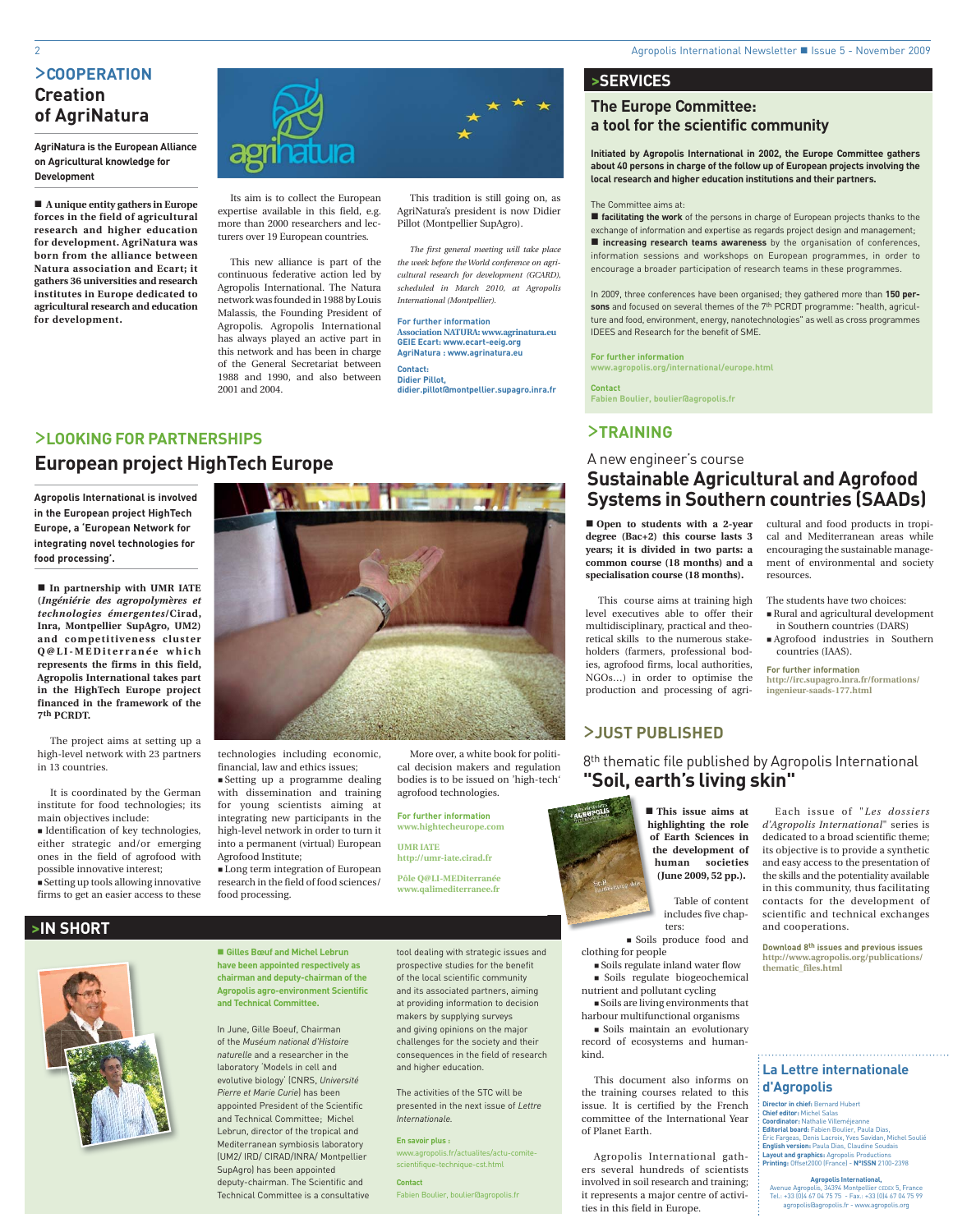### >**COOPERATION Creation of AgriNatura**

**AgriNatura is the European Alliance on Agricultural knowledge for Development** 

 **A unique entity gathers in Europe forces in the field of agricultural research and higher education for development. AgriNatura was born from the alliance between Natura association and Ecart; it gathers 36 universities and research institutes in Europe dedicated to agricultural research and education for development.**



Its aim is to collect the European expertise available in this field, e.g. more than 2000 researchers and lecturers over 19 European countries.

This new alliance is part of the continuous federative action led by Agropolis International. The Natura network was founded in 1988 by Louis Malassis, the Founding President of Agropolis. Agropolis International has always played an active part in this network and has been in charge of the General Secretariat between 1988 and 1990, and also between 2001 and 2004.

This tradition is still going on, as AgriNatura's president is now Didier Pillot (Montpellier SupAgro).

*The first general meeting will take place the week before the World conference on agricultural research for development (GCARD), scheduled in March 2010, at Agropolis International (Montpellier).*

**For further information Association NATURA: www.agrinatura.eu GEIE Ecart: www.ecart-eeig.org AgriNatura : www.agrinatura.eu Contact: Didier Pillot, didier.pillot@montpellier.supagro.inra.fr**

### >**LOOKING FOR PARTNERSHIPS European project HighTech Europe**

**Agropolis International is involved in the European project HighTech Europe, a 'European Network for integrating novel technologies for food processing'.**

 **In partnership with UMR IATE (***Ingéniérie des agropolymères et technologies émergentes***/Cirad, Inra, Montpellier SupAgro, UM2)**  and competitiveness cluster **Q @ L I - M E D i t e r r a n é e w h i c h represents the firms in this field, Agropolis International takes part in the HighTech Europe project financed in the framework of the 7th PCRDT.**

The project aims at setting up a high-level network with 23 partners in 13 countries.

It is coordinated by the German institute for food technologies; its main objectives include:

 $\blacksquare$ Identification of key technologies, either strategic and/or emerging ones in the field of agrofood with possible innovative interest; Setting up tools allowing innovative firms to get an easier access to these

technologies including economic,

financial, law and ethics issues; Setting up a programme dealing with dissemination and training for young scientists aiming at integrating new participants in the high-level network in order to turn it into a permanent (virtual) European Agrofood Institute;

 Long term integration of European research in the field of food sciences/ food processing.

 **Gilles Bœuf and Michel Lebrun have been appointed respectively as chairman and deputy-chairman of the Agropolis agro-environment Scientific** 

**and Technical Committee.**

In June, Gille Boeuf, Chairman of the *Muséum national d'Histoire naturelle* and a researcher in the laboratory 'Models in cell and evolutive biology' (CNRS, *Université Pierre et Marie Curie*) has been appointed President of the Scientific and Technical Committee; Michel Lebrun, director of the tropical and Mediterranean symbiosis laboratory (UM2/ IRD/ CIRAD/INRA/ Montpellier SupAgro) has been appointed deputy-chairman. The Scientific and Technical Committee is a consultative

More over, a white book for political decision makers and regulation bodies is to be issued on 'high-tech' agrofood technologies.

**For further information www.hightecheurope.com**

**UMR IATE http://umr-iate.cirad.fr**

tool dealing with strategic issues and prospective studies for the benefit of the local scientific community and its associated partners, aiming

at providing information to decision makers by supplying surveys and giving opinions on the major challenges for the society and their consequences in the field of research and higher education.

The activities of the STC will be presented in the next issue of *Lettre Internationale.*

**En savoir plus :** www.agropolis.fr/actualites/actu-comitescientifique-technique-cst.html

**Contact** Fabien Boulier, boulier@agropolis.fr **>SERVICES**

### **The Europe Committee: a tool for the scientific community**

**Initiated by Agropolis International in 2002, the Europe Committee gathers about 40 persons in charge of the follow up of European projects involving the local research and higher education institutions and their partners.**

#### The Committee aims at:

 **facilitating the work** of the persons in charge of European projects thanks to the exchange of information and expertise as regards project design and management; **increasing research teams awareness** by the organisation of conferences, information sessions and workshops on European programmes, in order to encourage a broader participation of research teams in these programmes.

In 2009, three conferences have been organised; they gathered more than **150 persons** and focused on several themes of the 7th PCRDT programme: "health, agriculture and food, environment, energy, nanotechnologies" as well as cross programmes IDEES and Research for the benefit of SME.

#### **For further information**

**www.agropolis.org/international/europe.html**

**Contact**

**Fabien Boulier, boulier@agropolis.fr**

### >**TRAINING**

### A new engineer's course **Sustainable Agricultural and Agrofood Systems in Southern countries (SAADs)**

resources.

■ Open to students with a 2-year **degree (Bac+2) this course lasts 3 years; it is divided in two parts: a common course (18 months) and a specialisation course (18 months).**

This course aims at training high level executives able to offer their multidisciplinary, practical and theoretical skills to the numerous stakeholders (farmers, professional bodies, agrofood firms, local authorities, NGOs…) in order to optimise the production and processing of agri-

### >**JUST PUBLISHED**

8<sup>th</sup> thematic file published by Agropolis International **"Soil, earth's living skin"** 



 **This issue aims at highlighting the role hi of Earth Sciences in of the development of th human** societies **(June 2009, 52 pp.).** 

clothing for people

 Soils regulate biogeochemical nutrient and pollutant cycling

 Soils are living environments that harbour multifunctional organisms

 Soils maintain an evolutionary cord of ecosystems and humankind.

This document also informs on the training courses related to this issue. It is certified by the French committee of the International Year of Planet Earth.

Agropolis International gathers several hundreds of scientists involved in soil research and training; it represents a major centre of activities in this field in Europe.

Each issue of "*Les dossiers d'Agropolis International*" series is dedicated to a broad scientific theme; its objective is to provide a synthetic and easy access to the presentation of the skills and the potentiality available in this community, thus facilitating contacts for the development of scientific and technical exchanges and cooperations.

cultural and food products in tropical and Mediterranean areas while encouraging the sustainable management of environmental and society

The students have two choices: Rural and agricultural development in Southern countries (DARS) Agrofood industries in Southern

**http://irc.supagro.inra.fr/formations/**

countries (IAAS). **For further information**

**ingenieur-saads-177.html**

**Download 8th issues and previous issues http://www.agropolis.org/publications/ thematic\_files.html**

### **La Lettre internationale d'Agropolis**

**Director in chief:** Bernard Hubert **Chief editor:** Michel Salas

**Coordinator:** Nathalie Villeméjeanne **Editorial board:** Fabien Boulier, Paula Dias, Éric Fargeas, Denis Lacroix, Yves Savidan, Michel Soulié **English version:** Paula Dias, Claudine Soudais **Layout and graphics:** Agropolis Productions **Printing:** Offset2000 (France) - **N°ISSN** 2100-2398

**Agropolis International,**  Avenue Agropolis, 34394 Montpellier CEDEX 5, France Tel.: +33 (0)4 67 04 75 75 - Fax.: +33 (0)4 67 04 75 99 agropolis@agropolis.fr - www.agropolis.org





# **>IN SHORT**



**Pôle Q@LI-MEDiterranée www.qalimediterranee.fr**

Table of content includes five chapters:

Soils produce food and

Soils regulate inland water flow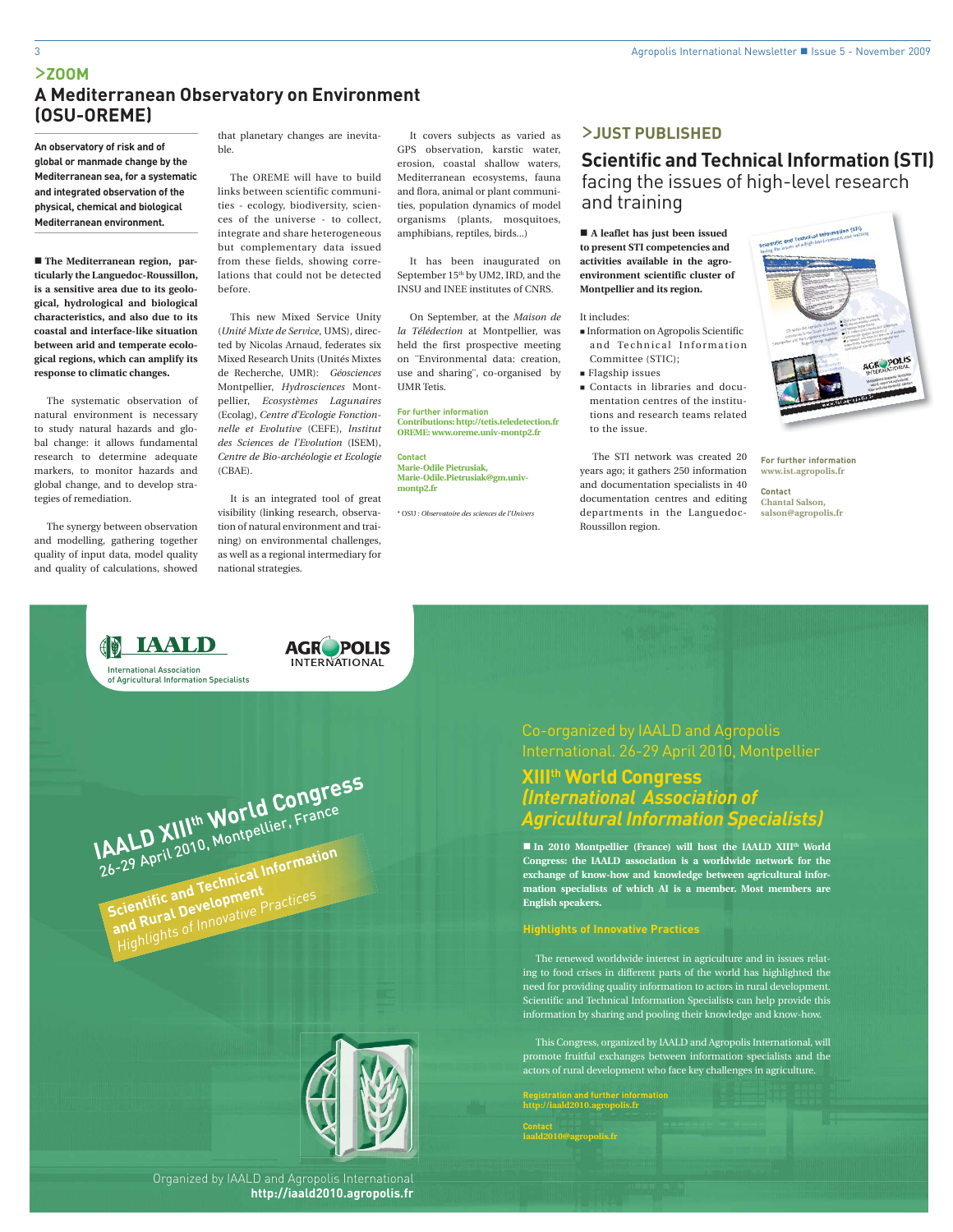### >**ZOOM A Mediterranean Observatory on Environment (OSU-OREME)**

 **The Mediterranean region, particularly the Languedoc-Roussillon, is a sensitive area due to its geological, hydrological and biological characteristics, and also due to its coastal and interface-like situation between arid and temperate ecological regions, which can amplify its response to climatic changes.**

The systematic observation of natural environment is necessary to study natural hazards and global change: it allows fundamental research to determine adequate markers, to monitor hazards and global change, and to develop strategies of remediation.

The synergy between observation and modelling, gathering together quality of input data, model quality and quality of calculations, showed

that planetary changes are inevitable.

The OREME will have to build links between scientific communities - ecology, biodiversity, sciences of the universe - to collect, integrate and share heterogeneous but complementary data issued from these fields, showing correlations that could not be detected before.

This new Mixed Service Unity (*Unité Mixte de Service*, UMS), directed by Nicolas Arnaud, federates six Mixed Research Units (Unités Mixtes de Recherche, UMR): *Géosciences*  Montpellier, *Hydrosciences* Montpellier, *Ecosystèmes Lagunaires*  (Ecolag), *Centre d'Ecologie Fonctionnelle et Evolutive* (CEFE), *lnstitut des Sciences de l'Evolution* (ISEM), *Centre de Bio-archéologie et Ecologie* (CBAE).

It is an integrated tool of great visibility (linking research, observation of natural environment and training) on environmental challenges, as well as a regional intermediary for national strategies.

**AGROPOLIS** 

**INTERNATIONAL** International Association of Agricultural Information Specialists **IAALD XIIIth World Congress** 26-29 April 2010, Montpellier, France

**Scientific and Technical Information** and Rural Development **Highlights of Innovative Practices** 



It covers subjects as varied as GPS observation, karstic water, erosion, coastal shallow waters, Mediterranean ecosystems, fauna and flora, animal or plant communities, population dynamics of model organisms (plants, mosquitoes, amphibians, reptiles, birds...)

It has been inaugurated on September 15<sup>th</sup> by UM2, IRD, and the INSU and INEE institutes of CNRS.

On September, at the *Maison de la Télédection* at Montpellier, was held the first prospective meeting on ¨Environmental data: creation, use and sharing¨, co-organised by UMR Tetis.

**For further information Contributions: http://tetis.teledetection.fr OREME: www.oreme.univ-montp2.fr**

**Contact Marie-Odile Pietrusiak, Marie-Odile.Pietrusiak@gm.univmontp2.fr**

\* OSU : *Observatoire des sciences de l'Univers*

### >**JUST PUBLISHED**

### **Scientific and Technical Information (STI)**  facing the issues of high-level research and training

 **A leaflet has just been issued to present STI competencies and activities available in the agroenvironment scientific cluster of Montpellier and its region.**

#### It includes:

- Information on Agropolis Scientific and Technical Information Committee (STIC);
- **Flagship issues**
- Contacts in libraries and documentation centres of the institutions and research teams related to the issue.

The STI network was created 20 years ago; it gathers 250 information and documentation specialists in 40 documentation centres and editing departments in the Languedoc-Roussillon region.

**For further information www.ist.agropolis.fr**

**Contact Chantal Salson, salson@agropolis.fr**

### Co-organized by IAALD and Agropolis International. 26-29 April 2010, Montpellier

### **XIIIth World Congress** *(International Association of Agricultural Information Specialists)*

**In 2010 Montpellier (France) will host the IAALD XIII<sup>th</sup> World Congress: the IAALD association is a worldwide network for the exchange of know-how and knowledge between agricultural information specialists of which AI is a member. Most members are English speakers.**

#### **Highlights of Innovative Practices**

The renewed worldwide interest in agriculture and in issues relating to food crises in different parts of the world has highlighted the need for providing quality information to actors in rural development. Scientific and Technical Information Specialists can help provide this information by sharing and pooling their knowledge and know-how.

This Congress, organized by IAALD and Agropolis International, will promote fruitful exchanges between information specialists and the actors of rural development who face key challenges in agriculture.

**Registration and further information http://iaald2010.agropolis.fr**

**Contact iaald2010@agropolis.fr**

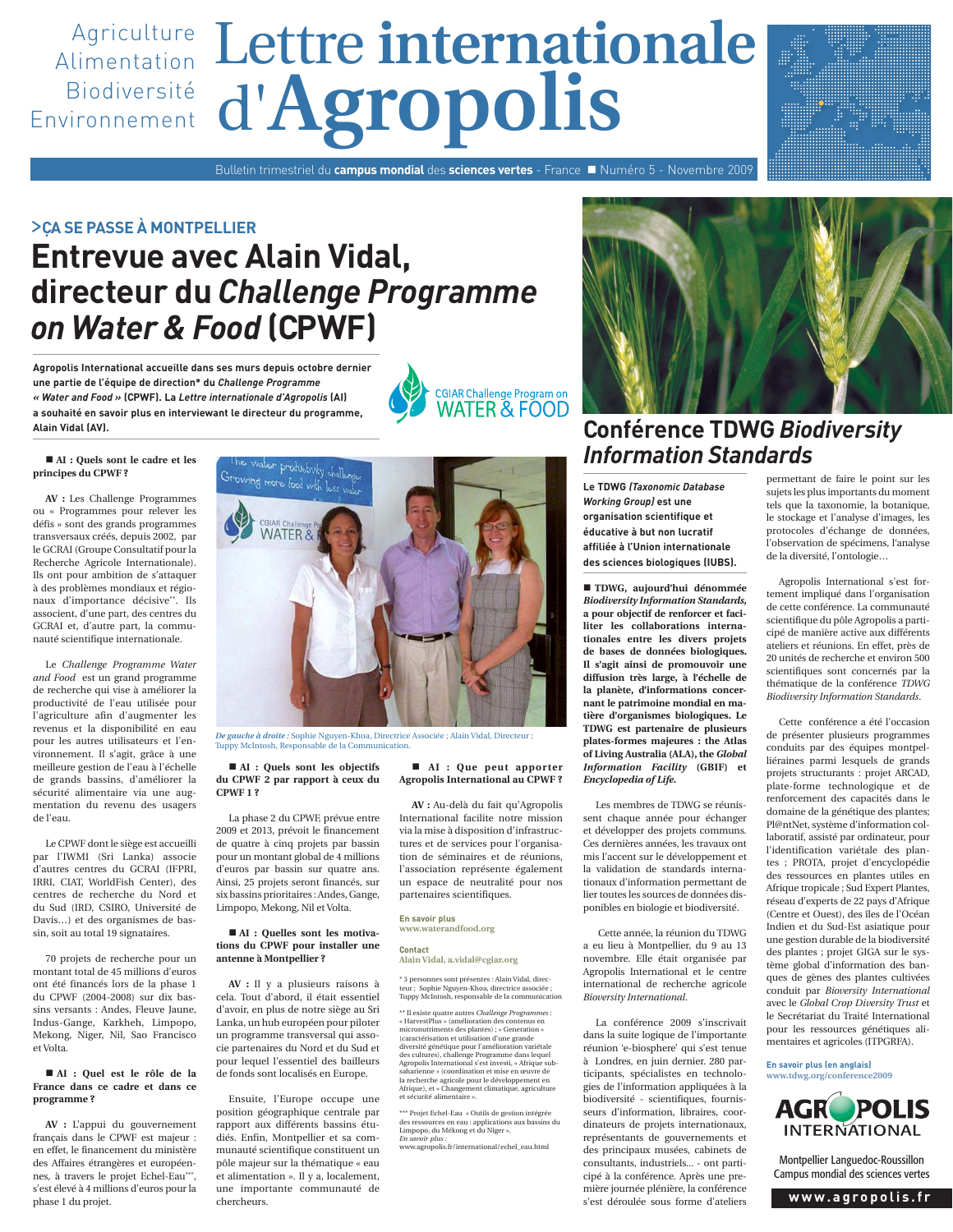# d'**Agropolis** Agriculture Lettre internationale Alimentation Biodiversité Environnement

Bulletin trimestriel du **campus mondial** des **sciences vertes** - France Numéro 5 - Novembre 2009

### >**ÇA SE PASSE À MONTPELLIER**

# **Entrevue avec Alain Vidal, directeur du** *Challenge Programme on Water & Food* **(CPWF)**

**Agropolis International accueille dans ses murs depuis octobre dernier une partie de l'équipe de direction\* du** *Challenge Programme « Water and Food »* **(CPWF). La** *Lettre internationale d'Agropolis* **(AI) a souhaité en savoir plus en interviewant le directeur du programme, Alain Vidal (AV).**



#### ■ AI : Quels sont le cadre et les **principes du CPWF ?**

**AV :** Les Challenge Programmes ou « Programmes pour relever les défis » sont des grands programmes transversaux créés, depuis 2002, par le GCRAI (Groupe Consultatif pour la Recherche Agricole Internationale). Ils ont pour ambition de s'attaquer à des problèmes mondiaux et régionaux d'importance décisive\*\*. Ils associent, d'une part, des centres du GCRAI et, d'autre part, la communauté scientifique internationale.

Le *Challenge Programme Water and Food* est un grand programme de recherche qui vise à améliorer la productivité de l'eau utilisée pour l'agriculture afin d'augmenter les revenus et la disponibilité en eau pour les autres utilisateurs et l'environnement. Il s'agit, grâce à une meilleure gestion de l'eau à l'échelle de grands bassins, d'améliorer la sécurité alimentaire via une augmentation du revenu des usagers de l'eau.

Le CPWF dont le siège est accueilli par l'IWMI (Sri Lanka) associe d'autres centres du GCRAI (IFPRI, IRRI, CIAT, WorldFish Center), des centres de recherche du Nord et du Sud (IRD, CSIRO, Université de Davis…) et des organismes de bassin, soit au total 19 signataires.

70 projets de recherche pour un montant total de 45 millions d'euros ont été financés lors de la phase 1 du CPWF (2004-2008) sur dix bassins versants : Andes, Fleuve Jaune, Indus-Gange, Karkheh, Limpopo, Mekong, Niger, Nil, Sao Francisco et Volta.

#### **AI : Quel est le rôle de la France dans ce cadre et dans ce programme ?**

**AV :** L'appui du gouvernement français dans le CPWF est majeur : en effet, le financement du ministère des Affaires étrangères et européennes, à travers le projet Echel-Eau\*\*\*, s'est élevé à 4 millions d'euros pour la phase 1 du projet.



*De gauche à droite :* Sophie Nguyen-Khoa, Directrice Associée ; Alain Vidal, Directeur ; Tuppy McIntosh, Responsable de la Communication.

 **AI : Quels sont les objectifs du CPWF 2 par rapport à ceux du CPWF 1 ?**

La phase 2 du CPWF, prévue entre 2009 et 2013, prévoit le financement de quatre à cinq projets par bassin pour un montant global de 4 millions d'euros par bassin sur quatre ans. Ainsi, 25 projets seront financés, sur six bassins prioritaires : Andes, Gange, Limpopo, Mekong, Nil et Volta.

#### **AI : Quelles sont les motivations du CPWF pour installer une antenne à Montpellier ?**

**AV :** Il y a plusieurs raisons à cela. Tout d'abord, il était essentiel d'avoir, en plus de notre siège au Sri Lanka, un hub européen pour piloter un programme transversal qui associe partenaires du Nord et du Sud et pour lequel l'essentiel des bailleurs de fonds sont localisés en Europe.

Ensuite, l'Europe occupe une position géographique centrale par rapport aux différents bassins étudiés. Enfin, Montpellier et sa communauté scientifique constituent un pôle majeur sur la thématique « eau et alimentation ». Il y a, localement, une importante communauté de chercheurs.

#### **AI : Que peut apporter Agropolis International au CPWF ?**

**AV :** Au-delà du fait qu'Agropolis International facilite notre mission via la mise à disposition d'infrastructures et de services pour l'organisation de séminaires et de réunions, l'association représente également un espace de neutralité pour nos partenaires scientifiques.

#### **En savoir plus www.waterandfood.org**

#### **Contact Alain Vidal, a.vidal@cgiar.org**

\* 3 personnes sont présentes : Alain Vidal, directeur ; Sophie Nguyen-Khoa, directrice associée ; Tuppy McIntosh, responsable de la communication

\*\* Il existe quatre autres *Challenge Programmes* : « HarvestPlus » (amélioration des contenus en micronutriments des plantes) ; « Generation » (caractérisation et utilisation d'une grande diversité génétique pour l'amélioration variétale des cultures), challenge Programme dans lequel Agropolis International s'est investi, « Afrique subsaharienne » (coordination et mise en œuvre de la recherche agricole pour le développement en Afrique), et « Changement climatique, agriculture et sécurité alimentaire ».

\*\*\* Projet Echel-Eau « Outils de gestion intégrée des ressources en eau : applications aux bassins du Limpopo, du Mékong et du Niger ». *En savoir plus :* 

www.agropolis.fr/international/echel\_eau.html



## **Conférence TDWG** *Biodiversity Information Standards*

**Le TDWG** *(Taxonomic Database Working Group)* **est une organisation scientifique et éducative à but non lucratif affiliée à l'Union internationale des sciences biologiques (IUBS).**

 **TDWG, aujourd'hui dénommée**  *Biodiversity Information Standards,*  **a pour objectif de renforcer et faciliter les collaborations internationales entre les divers projets de bases de données biologiques. Il s'agit ainsi de promouvoir une diffusion très large, à l'échelle de la planète, d'informations concernant le patrimoine mondial en matière d'organismes biologiques. Le TDWG est partenaire de plusieurs plates-formes majeures : the Atlas of Living Australia (ALA), the** *Global Information Facility* **(GBIF) et**  *Encyclopedia of Life.*

Les membres de TDWG se réunissent chaque année pour échanger et développer des projets communs. Ces dernières années, les travaux ont mis l'accent sur le développement et la validation de standards internationaux d'information permettant de lier toutes les sources de données disponibles en biologie et biodiversité.

 Cette année, la réunion du TDWG a eu lieu à Montpellier, du 9 au 13 novembre. Elle était organisée par Agropolis International et le centre international de recherche agricole *Bioversity International*.

La conférence 2009 s'inscrivait dans la suite logique de l'importante réunion 'e-biosphere' qui s'est tenue à Londres, en juin dernier. 280 participants, spécialistes en technologies de l'information appliquées à la biodiversité - scientifiques, fournisseurs d'information, libraires, coordinateurs de projets internationaux, représentants de gouvernements et des principaux musées, cabinets de consultants, industriels... - ont participé à la conférence. Après une première journée plénière, la conférence s'est déroulée sous forme d'ateliers

permettant de faire le point sur les sujets les plus importants du moment tels que la taxonomie, la botanique, le stockage et l'analyse d'images, les protocoles d'échange de données, l'observation de spécimens, l'analyse de la diversité, l'ontologie…

Agropolis International s'est fortement impliqué dans l'organisation de cette conférence. La communauté scientifique du pôle Agropolis a participé de manière active aux différents ateliers et réunions. En effet, près de 20 unités de recherche et environ 500 scientifiques sont concernés par la thématique de la conférence *TDWG Biodiversity Information Standards*.

Cette conférence a été l'occasion de présenter plusieurs programmes conduits par des équipes montpelliéraines parmi lesquels de grands projets structurants : projet ARCAD, plate-forme technologique et de renforcement des capacités dans le domaine de la génétique des plantes; Pl@ntNet, système d'information collaboratif, assisté par ordinateur, pour l'identification variétale des plantes ; PROTA, projet d'encyclopédie des ressources en plantes utiles en Afrique tropicale ; Sud Expert Plantes, réseau d'experts de 22 pays d'Afrique (Centre et Ouest), des îles de l'Océan Indien et du Sud-Est asiatique pour une gestion durable de la biodiversité des plantes ; projet GIGA sur le système global d'information des banques de gènes des plantes cultivées conduit par *Bioversity International* avec le *Global Crop Diversity Trust* et le Secrétariat du Traité International pour les ressources génétiques alimentaires et agricoles (ITPGRFA).

**En savoir plus (en anglais) www.tdwg.org/conference2009**



Montpellier Languedoc-Roussillon Campus mondial des sciences vertes

**www.agropolis.fr**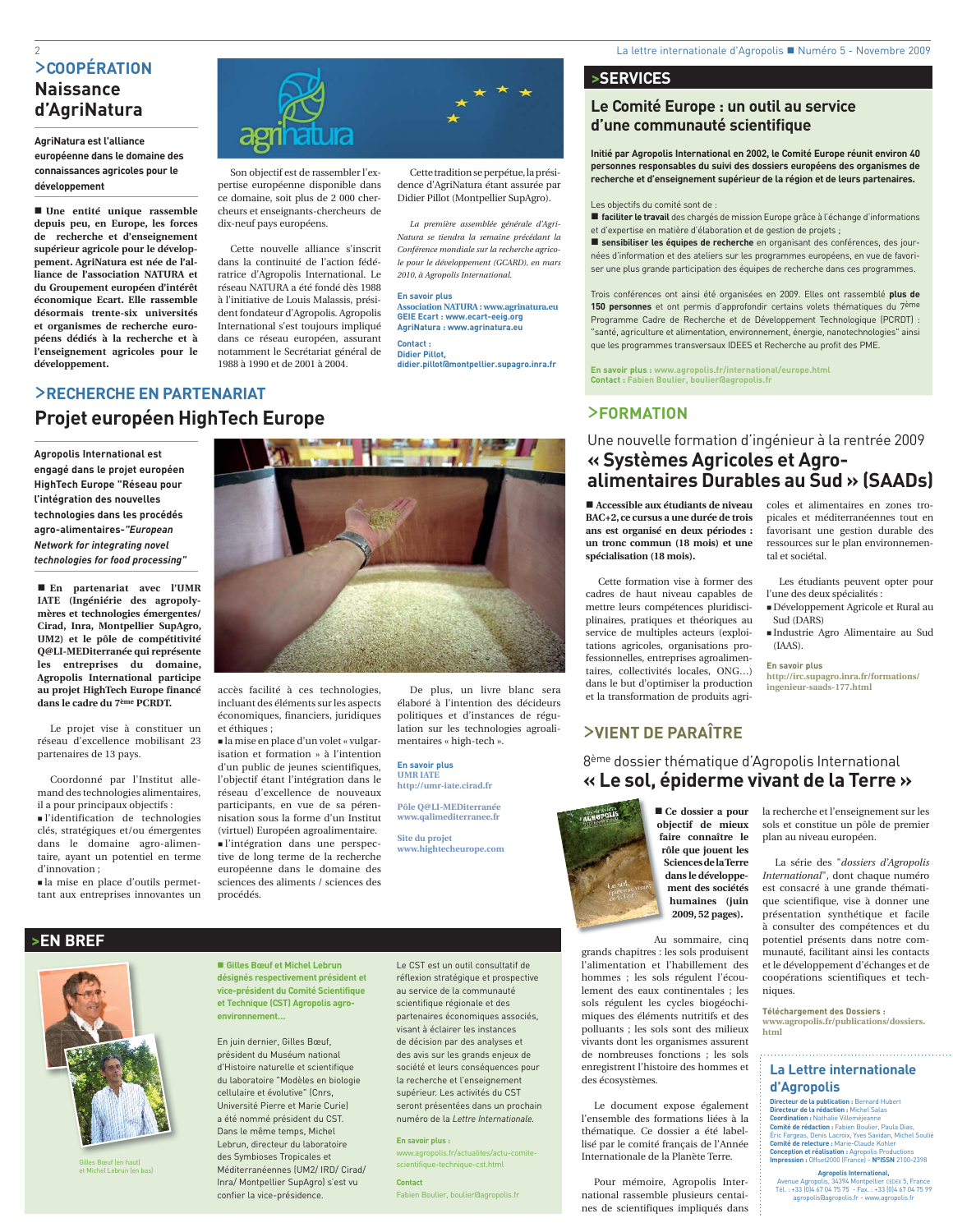### >**COOPÉRATION Naissance d'AgriNatura**

### **AgriNatura est l'alliance européenne dans le domaine des connaissances agricoles pour le développement**

 **Une entité unique rassemble depuis peu, en Europe, les forces de recherche et d'enseignement supérieur agricole pour le développement. AgriNatura est née de l'alliance de l'association NATURA et du Groupement européen d'intérêt économique Ecart. Elle rassemble désormais trente-six universités et organismes de recherche européens dédiés à la recherche et à l'enseignement agricoles pour le développement.** 



Son objectif est de rassembler l'expertise européenne disponible dans ce domaine, soit plus de 2 000 chercheurs et enseignants-chercheurs de dix-neuf pays européens.

Cette nouvelle alliance s'inscrit dans la continuité de l'action fédératrice d'Agropolis International. Le réseau NATURA a été fondé dès 1988 à l'initiative de Louis Malassis, président fondateur d'Agropolis. Agropolis International s'est toujours impliqué dans ce réseau européen, assurant notamment le Secrétariat général de 1988 à 1990 et de 2001 à 2004.

Cette tradition se perpétue, la présidence d'AgriNatura étant assurée par Didier Pillot (Montpellier SupAgro).

2 La lettre internationale d'Agropolis Numéro 5 - Novembre 2009

*La première assemblée générale d'Agri-Natura se tiendra la semaine précédant la Conférence mondiale sur la recherche agricole pour le développement (GCARD), en mars 2010, à Agropolis International.*

#### **En savoir plus**

**Association NATURA : www.agrinatura.eu GEIE Ecart : www.ecart-eeig.org AgriNatura : www.agrinatura.eu** 

#### **Contact : Didier Pillot,**

**didier.pillot@montpellier.supagro.inra.fr**

### >**RECHERCHE EN PARTENARIAT Projet européen HighTech Europe**

**Agropolis International est engagé dans le projet européen HighTech Europe "Réseau pour l'intégration des nouvelles technologies dans les procédés agro-alimentaires-***"European Network for integrating novel technologies for food processing"*

 **En partenariat avec l'UMR IATE (Ingéniérie des agropolymères et technologies émergentes/ Cirad, Inra, Montpellier SupAgro, UM2) et le pôle de compétitivité Q@LI-MEDiterranée qui représente les entreprises du domaine, Agropolis International participe au projet HighTech Europe financé dans le cadre du 7ème PCRDT.**

Le projet vise à constituer un réseau d'excellence mobilisant 23 partenaires de 13 pays.

Coordonné par l'Institut allemand des technologies alimentaires, il a pour principaux objectifs :

 l'identification de technologies clés, stratégiques et/ou émergentes dans le domaine agro-alimentaire, ayant un potentiel en terme d'innovation ;

 la mise en place d'outils permettant aux entreprises innovantes un

Gilles Bœuf (en haut) et Michel Lebrun (en bas)



accès facilité à ces technologies, incluant des éléments sur les aspects économiques, financiers, juridiques et éthiques ;

 la mise en place d'un volet « vulgarisation et formation » à l'intention d'un public de jeunes scientifiques, l'objectif étant l'intégration dans le réseau d'excellence de nouveaux participants, en vue de sa pérennisation sous la forme d'un Institut (virtuel) Européen agroalimentaire. l'intégration dans une perspective de long terme de la recherche européenne dans le domaine des sciences des aliments / sciences des procédés.

De plus, un livre blanc sera élaboré à l'intention des décideurs politiques et d'instances de régulation sur les technologies agroalimentaires « high-tech ».

**En savoir plus UMR IATE http://umr-iate.cirad.fr**

**Pôle Q@LI-MEDiterranée www.qalimediterranee.fr**

**Site du projet www.hightecheurope.com**

## **>SERVICES**

# **Le Comité Europe : un outil au service**

**d'une communauté scientifique**

**Initié par Agropolis International en 2002, le Comité Europe réunit environ 40 personnes responsables du suivi des dossiers européens des organismes de recherche et d'enseignement supérieur de la région et de leurs partenaires.**

Les objectifs du comité sont de :

 **faciliter le travail** des chargés de mission Europe grâce à l'échange d'informations et d'expertise en matière d'élaboration et de gestion de projets ;

 **sensibiliser les équipes de recherche** en organisant des conférences, des journées d'information et des ateliers sur les programmes européens, en vue de favoriser une plus grande participation des équipes de recherche dans ces programmes.

Trois conférences ont ainsi été organisées en 2009. Elles ont rassemblé **plus de 150 personnes** et ont permis d'approfondir certains volets thématiques du 7ème Programme Cadre de Recherche et de Développement Technologique (PCRDT) : "santé, agriculture et alimentation, environnement, énergie, nanotechnologies" ainsi que les programmes transversaux IDEES et Recherche au profit des PME.

**En savoir plus : www.agropolis.fr/international/europe.html Contact : Fabien Boulier, boulier@agropolis.fr**

### >**FORMATION**

### Une nouvelle formation d'ingénieur à la rentrée 2009 **« Systèmes Agricoles et Agroalimentaires Durables au Sud » (SAADs)**

tal et sociétal.

Sud (DARS)

(IAAS). **En savoir plus**

 **Accessible aux étudiants de niveau BAC+2, ce cursus a une durée de trois ans est organisé en deux périodes : un tronc commun (18 mois) et une spécialisation (18 mois).**

Cette formation vise à former des cadres de haut niveau capables de mettre leurs compétences pluridisciplinaires, pratiques et théoriques au service de multiples acteurs (exploitations agricoles, organisations professionnelles, entreprises agroalimentaires, collectivités locales, ONG…) dans le but d'optimiser la production et la transformation de produits agri-

### >**VIENT DE PARAÎTRE**

### 8ème dossier thématique d'Agropolis International **« Le sol, épiderme vivant de la Terre »**



 **Ce dossier a pour objectif de mieux ob faire connaître le fa rôle que jouent les r Sciences de la Terre S dans le développement des sociétés humaines (juin 2009, 52 pages).** 

Au sommaire, cinq grands chapitres : les sols produisent l'alimentation et l'habillement des hommes ; les sols régulent l'écoulement des eaux continentales ; les sols régulent les cycles biogéochimiques des éléments nutritifs et des polluants ; les sols sont des milieux vivants dont les organismes assurent de nombreuses fonctions ; les sols enregistrent l'histoire des hommes et des écosystèmes.

Le document expose également l'ensemble des formations liées à la thématique. Ce dossier a été labellisé par le comité français de l'Année Internationale de la Planète Terre.

Pour mémoire, Agropolis International rassemble plusieurs centaines de scientifiques impliqués dans la recherche et l'enseignement sur les sols et constitue un pôle de premier plan au niveau européen.

coles et alimentaires en zones tropicales et méditerranéennes tout en favorisant une gestion durable des ressources sur le plan environnemen-

Les étudiants peuvent opter pour

Développement Agricole et Rural au

Industrie Agro Alimentaire au Sud

**http://irc.supagro.inra.fr/formations/**

l'une des deux spécialités :

**ingenieur-saads-177.html**

La série des "*dossiers d'Agropolis International*", dont chaque numéro est consacré à une grande thématique scientifique, vise à donner une présentation synthétique et facile à consulter des compétences et du potentiel présents dans notre communauté, facilitant ainsi les contacts et le développement d'échanges et de coopérations scientifiques et techniques.

**Téléchargement des Dossiers : www.agropolis.fr/publications/dossiers. html**

### **La Lettre internationale d'Agropolis**

**Directeur de la publication :** Bernard Hubert **Directeur de la rédaction :** Michel Salas **Coordination :** Nathalie Villeméjeanne **Comité de rédaction :** Fabien Boulier, Paula Dias, Éric Fargeas, Denis Lacroix, Yves Savidan, Michel Soulié **Comité de relecture :** Marie-Claude Kohler **Conception et réalisation :** Agropolis Productions **Impression :** Offset2000 (France) - **N°ISSN** 2100-2398

**Agropolis International,**  Avenue Agropolis, 34394 Montpellier CEDEX 5, France Tél. : +33 (0)4 67 04 75 75 - Fax. : +33 (0)4 67 04 75 99 agropolis@agropolis.fr - www.agropolis.fr

**et Technique (CST) Agropolis agroenvironnement…** En juin dernier, Gilles Bœuf, président du Muséum national d'Histoire naturelle et scientifique du laboratoire "Modèles en biologie cellulaire et évolutive" (Cnrs,

Université Pierre et Marie Curie) a été nommé président du CST. Dans le même temps, Michel Lebrun, directeur du laboratoire des Symbioses Tropicales et Méditerranéennes (UM2/ IRD/ Cirad/ Inra/ Montpellier SupAgro) s'est vu confier la vice-présidence.

 **Gilles Bœuf et Michel Lebrun désignés respectivement président et vice-président du Comité Scientifique** 

réflexion stratégique et prospective au service de la communauté scientifique régionale et des partenaires économiques associés, visant à éclairer les instances de décision par des analyses et des avis sur les grands enjeux de société et leurs conséquences pour la recherche et l'enseignement supérieur. Les activités du CST seront présentées dans un prochain numéro de la *Lettre Internationale.*

Le CST est un outil consultatif de

**En savoir plus :** www.agropolis.fr/actualites/actu-comitescientifique-technique-cst.html **Contact**

Fabien Boulier, boulier@agropolis.fr

**>EN BREF**